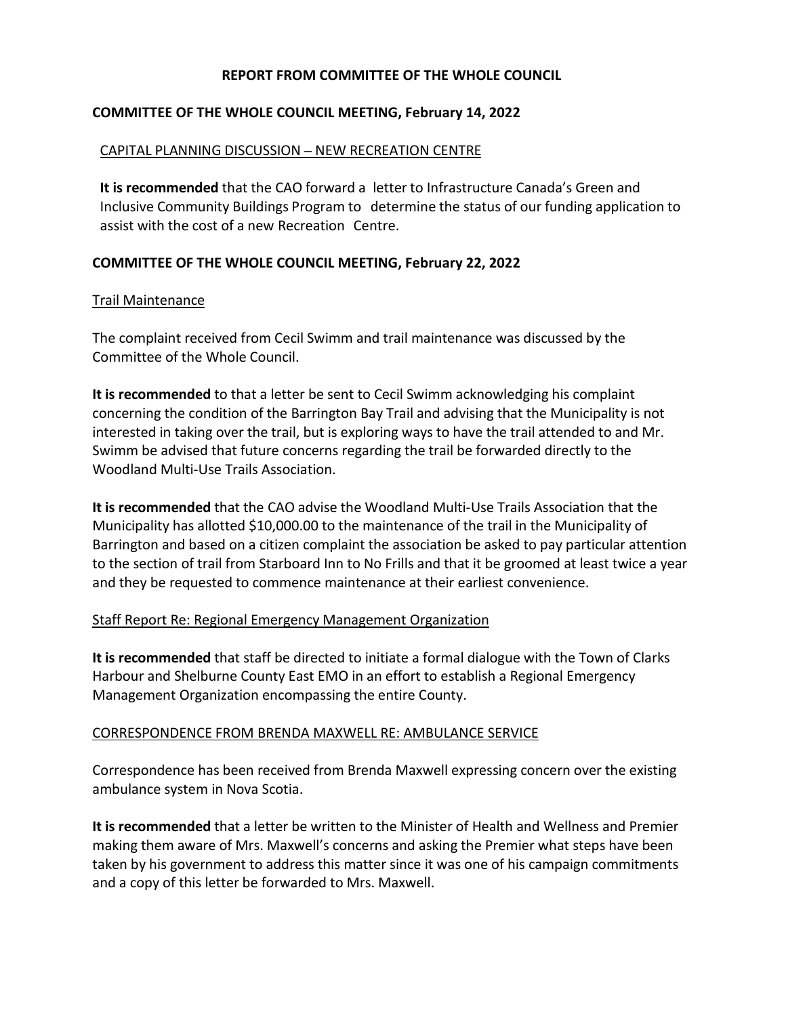## **REPORT FROM COMMITTEE OF THE WHOLE COUNCIL**

### **COMMITTEE OF THE WHOLE COUNCIL MEETING, February 14, 2022**

#### CAPITAL PLANNING DISCUSSION – NEW RECREATION CENTRE

**It is recommended** that the CAO forward a letter to Infrastructure Canada's Green and Inclusive Community Buildings Program to determine the status of our funding application to assist with the cost of a new Recreation Centre.

#### **COMMITTEE OF THE WHOLE COUNCIL MEETING, February 22, 2022**

#### Trail Maintenance

The complaint received from Cecil Swimm and trail maintenance was discussed by the Committee of the Whole Council.

**It is recommended** to that a letter be sent to Cecil Swimm acknowledging his complaint concerning the condition of the Barrington Bay Trail and advising that the Municipality is not interested in taking over the trail, but is exploring ways to have the trail attended to and Mr. Swimm be advised that future concerns regarding the trail be forwarded directly to the Woodland Multi-Use Trails Association.

**It is recommended** that the CAO advise the Woodland Multi-Use Trails Association that the Municipality has allotted \$10,000.00 to the maintenance of the trail in the Municipality of Barrington and based on a citizen complaint the association be asked to pay particular attention to the section of trail from Starboard Inn to No Frills and that it be groomed at least twice a year and they be requested to commence maintenance at their earliest convenience.

#### Staff Report Re: Regional Emergency Management Organization

**It is recommended** that staff be directed to initiate a formal dialogue with the Town of Clarks Harbour and Shelburne County East EMO in an effort to establish a Regional Emergency Management Organization encompassing the entire County.

#### CORRESPONDENCE FROM BRENDA MAXWELL RE: AMBULANCE SERVICE

Correspondence has been received from Brenda Maxwell expressing concern over the existing ambulance system in Nova Scotia.

**It is recommended** that a letter be written to the Minister of Health and Wellness and Premier making them aware of Mrs. Maxwell's concerns and asking the Premier what steps have been taken by his government to address this matter since it was one of his campaign commitments and a copy of this letter be forwarded to Mrs. Maxwell.